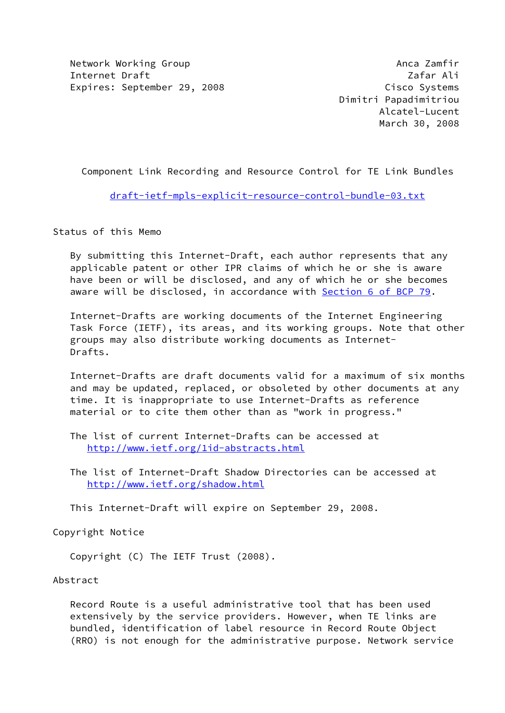Network Working Group **Anca Zamfir** Anca Zamfir Internet Draft **Zafar Ali** Expires: September 29, 2008 Cisco Systems

 Dimitri Papadimitriou Alcatel-Lucent March 30, 2008

Component Link Recording and Resource Control for TE Link Bundles

[draft-ietf-mpls-explicit-resource-control-bundle-03.txt](https://datatracker.ietf.org/doc/pdf/draft-ietf-mpls-explicit-resource-control-bundle-03.txt)

Status of this Memo

 By submitting this Internet-Draft, each author represents that any applicable patent or other IPR claims of which he or she is aware have been or will be disclosed, and any of which he or she becomes aware will be disclosed, in accordance with Section [6 of BCP 79.](https://datatracker.ietf.org/doc/pdf/bcp79#section-6)

 Internet-Drafts are working documents of the Internet Engineering Task Force (IETF), its areas, and its working groups. Note that other groups may also distribute working documents as Internet- Drafts.

 Internet-Drafts are draft documents valid for a maximum of six months and may be updated, replaced, or obsoleted by other documents at any time. It is inappropriate to use Internet-Drafts as reference material or to cite them other than as "work in progress."

 The list of current Internet-Drafts can be accessed at <http://www.ietf.org/1id-abstracts.html>

 The list of Internet-Draft Shadow Directories can be accessed at <http://www.ietf.org/shadow.html>

This Internet-Draft will expire on September 29, 2008.

Copyright Notice

Copyright (C) The IETF Trust (2008).

## Abstract

 Record Route is a useful administrative tool that has been used extensively by the service providers. However, when TE links are bundled, identification of label resource in Record Route Object (RRO) is not enough for the administrative purpose. Network service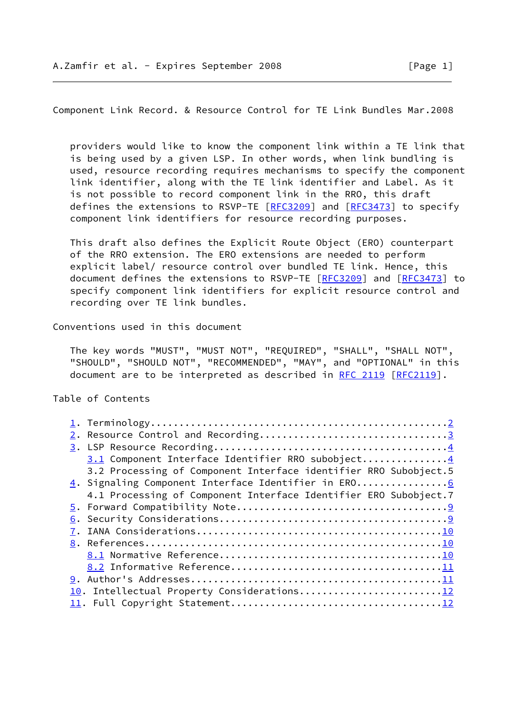<span id="page-1-0"></span>Component Link Record. & Resource Control for TE Link Bundles Mar.2008

 providers would like to know the component link within a TE link that is being used by a given LSP. In other words, when link bundling is used, resource recording requires mechanisms to specify the component link identifier, along with the TE link identifier and Label. As it is not possible to record component link in the RRO, this draft defines the extensions to RSVP-TE [[RFC3209](https://datatracker.ietf.org/doc/pdf/rfc3209)] and [\[RFC3473](https://datatracker.ietf.org/doc/pdf/rfc3473)] to specify component link identifiers for resource recording purposes.

 This draft also defines the Explicit Route Object (ERO) counterpart of the RRO extension. The ERO extensions are needed to perform explicit label/ resource control over bundled TE link. Hence, this document defines the extensions to RSVP-TE [[RFC3209\]](https://datatracker.ietf.org/doc/pdf/rfc3209) and [\[RFC3473](https://datatracker.ietf.org/doc/pdf/rfc3473)] to specify component link identifiers for explicit resource control and recording over TE link bundles.

Conventions used in this document

 The key words "MUST", "MUST NOT", "REQUIRED", "SHALL", "SHALL NOT", "SHOULD", "SHOULD NOT", "RECOMMENDED", "MAY", and "OPTIONAL" in this document are to be interpreted as described in [RFC 2119 \[RFC2119](https://datatracker.ietf.org/doc/pdf/rfc2119)].

Table of Contents

|  | 2. Resource Control and Recording3                               |
|--|------------------------------------------------------------------|
|  |                                                                  |
|  | 3.1 Component Interface Identifier RRO subobject4                |
|  | 3.2 Processing of Component Interface identifier RRO Subobject.5 |
|  | 4. Signaling Component Interface Identifier in ERO6              |
|  | 4.1 Processing of Component Interface Identifier ERO Subobject.7 |
|  |                                                                  |
|  |                                                                  |
|  |                                                                  |
|  |                                                                  |
|  |                                                                  |
|  |                                                                  |
|  |                                                                  |
|  | 10. Intellectual Property Considerations12                       |
|  |                                                                  |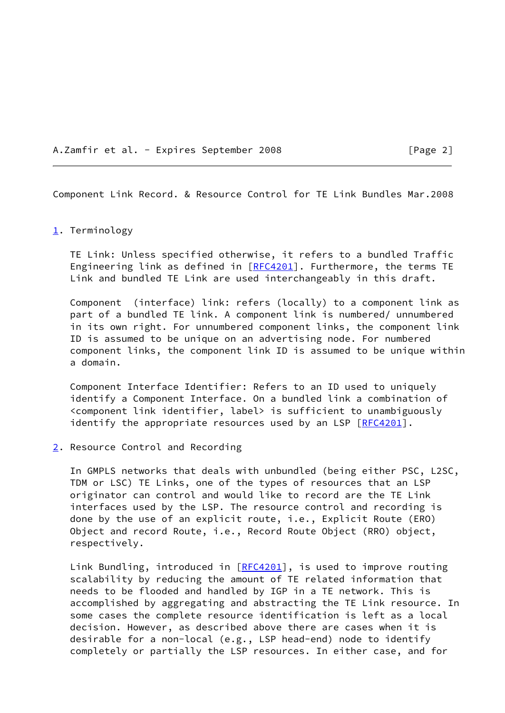A.Zamfir et al. - Expires September 2008 [Page 2]

<span id="page-2-2"></span>Component Link Record. & Resource Control for TE Link Bundles Mar.2008

## <span id="page-2-0"></span>[1](#page-2-0). Terminology

 TE Link: Unless specified otherwise, it refers to a bundled Traffic Engineering link as defined in [\[RFC4201](https://datatracker.ietf.org/doc/pdf/rfc4201)]. Furthermore, the terms TE Link and bundled TE Link are used interchangeably in this draft.

 Component (interface) link: refers (locally) to a component link as part of a bundled TE link. A component link is numbered/ unnumbered in its own right. For unnumbered component links, the component link ID is assumed to be unique on an advertising node. For numbered component links, the component link ID is assumed to be unique within a domain.

 Component Interface Identifier: Refers to an ID used to uniquely identify a Component Interface. On a bundled link a combination of <component link identifier, label> is sufficient to unambiguously identify the appropriate resources used by an LSP [[RFC4201](https://datatracker.ietf.org/doc/pdf/rfc4201)].

<span id="page-2-1"></span>[2](#page-2-1). Resource Control and Recording

 In GMPLS networks that deals with unbundled (being either PSC, L2SC, TDM or LSC) TE Links, one of the types of resources that an LSP originator can control and would like to record are the TE Link interfaces used by the LSP. The resource control and recording is done by the use of an explicit route, i.e., Explicit Route (ERO) Object and record Route, i.e., Record Route Object (RRO) object, respectively.

Link Bundling, introduced in [\[RFC4201](https://datatracker.ietf.org/doc/pdf/rfc4201)], is used to improve routing scalability by reducing the amount of TE related information that needs to be flooded and handled by IGP in a TE network. This is accomplished by aggregating and abstracting the TE Link resource. In some cases the complete resource identification is left as a local decision. However, as described above there are cases when it is desirable for a non-local (e.g., LSP head-end) node to identify completely or partially the LSP resources. In either case, and for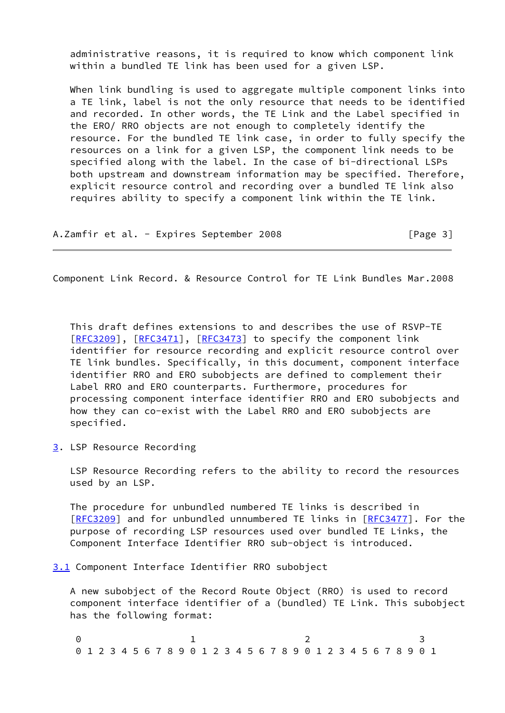administrative reasons, it is required to know which component link within a bundled TE link has been used for a given LSP.

When link bundling is used to aggregate multiple component links into a TE link, label is not the only resource that needs to be identified and recorded. In other words, the TE Link and the Label specified in the ERO/ RRO objects are not enough to completely identify the resource. For the bundled TE link case, in order to fully specify the resources on a link for a given LSP, the component link needs to be specified along with the label. In the case of bi-directional LSPs both upstream and downstream information may be specified. Therefore, explicit resource control and recording over a bundled TE link also requires ability to specify a component link within the TE link.

A.Zamfir et al. - Expires September 2008 [Page 3]

<span id="page-3-1"></span>Component Link Record. & Resource Control for TE Link Bundles Mar.2008

 This draft defines extensions to and describes the use of RSVP-TE [\[RFC3209](https://datatracker.ietf.org/doc/pdf/rfc3209)], [[RFC3471\]](https://datatracker.ietf.org/doc/pdf/rfc3471), [[RFC3473](https://datatracker.ietf.org/doc/pdf/rfc3473)] to specify the component link identifier for resource recording and explicit resource control over TE link bundles. Specifically, in this document, component interface identifier RRO and ERO subobjects are defined to complement their Label RRO and ERO counterparts. Furthermore, procedures for processing component interface identifier RRO and ERO subobjects and how they can co-exist with the Label RRO and ERO subobjects are specified.

<span id="page-3-0"></span>[3](#page-3-0). LSP Resource Recording

 LSP Resource Recording refers to the ability to record the resources used by an LSP.

 The procedure for unbundled numbered TE links is described in [\[RFC3209](https://datatracker.ietf.org/doc/pdf/rfc3209)] and for unbundled unnumbered TE links in [[RFC3477\]](https://datatracker.ietf.org/doc/pdf/rfc3477). For the purpose of recording LSP resources used over bundled TE Links, the Component Interface Identifier RRO sub-object is introduced.

<span id="page-3-2"></span>[3.1](#page-3-2) Component Interface Identifier RRO subobject

 A new subobject of the Record Route Object (RRO) is used to record component interface identifier of a (bundled) TE Link. This subobject has the following format:

0 1 2 3 0 1 2 3 4 5 6 7 8 9 0 1 2 3 4 5 6 7 8 9 0 1 2 3 4 5 6 7 8 9 0 1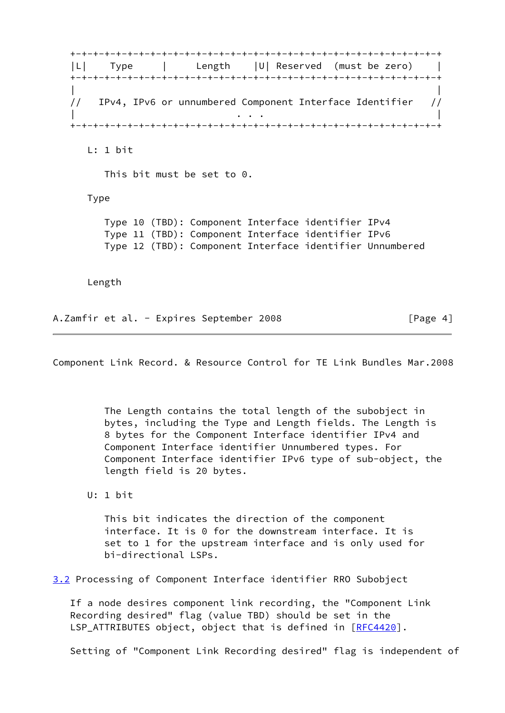+-+-+-+-+-+-+-+-+-+-+-+-+-+-+-+-+-+-+-+-+-+-+-+-+-+-+-+-+-+-+-+-+ |L| Type | Length |U| Reserved (must be zero) | +-+-+-+-+-+-+-+-+-+-+-+-+-+-+-+-+-+-+-+-+-+-+-+-+-+-+-+-+-+-+-+-+ | | // IPv4, IPv6 or unnumbered Component Interface Identifier // | . . . | +-+-+-+-+-+-+-+-+-+-+-+-+-+-+-+-+-+-+-+-+-+-+-+-+-+-+-+-+-+-+-+-+ L: 1 bit This bit must be set to 0. Type Type 10 (TBD): Component Interface identifier IPv4 Type 11 (TBD): Component Interface identifier IPv6 Type 12 (TBD): Component Interface identifier Unnumbered Length A.Zamfir et al. - Expires September 2008 [Page 4]

Component Link Record. & Resource Control for TE Link Bundles Mar.2008

 The Length contains the total length of the subobject in bytes, including the Type and Length fields. The Length is 8 bytes for the Component Interface identifier IPv4 and Component Interface identifier Unnumbered types. For Component Interface identifier IPv6 type of sub-object, the length field is 20 bytes.

U: 1 bit

 This bit indicates the direction of the component interface. It is 0 for the downstream interface. It is set to 1 for the upstream interface and is only used for bi-directional LSPs.

<span id="page-4-0"></span>[3.2](#page-4-0) Processing of Component Interface identifier RRO Subobject

 If a node desires component link recording, the "Component Link Recording desired" flag (value TBD) should be set in the LSP\_ATTRIBUTES object, object that is defined in [\[RFC4420](https://datatracker.ietf.org/doc/pdf/rfc4420)].

Setting of "Component Link Recording desired" flag is independent of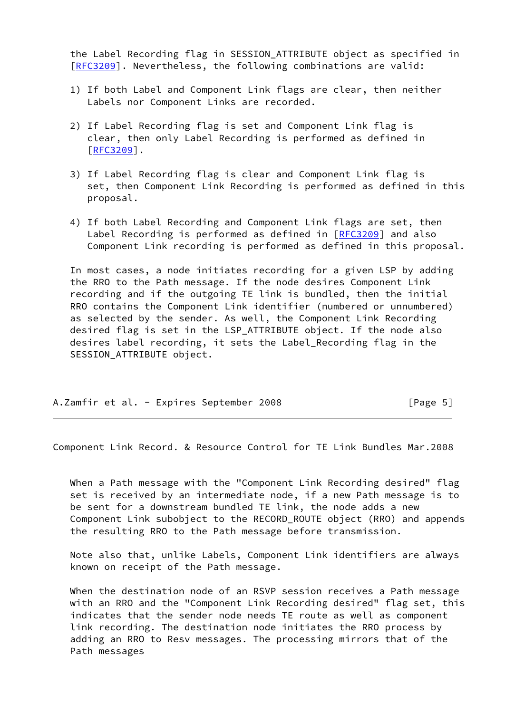the Label Recording flag in SESSION\_ATTRIBUTE object as specified in [\[RFC3209](https://datatracker.ietf.org/doc/pdf/rfc3209)]. Nevertheless, the following combinations are valid:

- 1) If both Label and Component Link flags are clear, then neither Labels nor Component Links are recorded.
- 2) If Label Recording flag is set and Component Link flag is clear, then only Label Recording is performed as defined in [[RFC3209\]](https://datatracker.ietf.org/doc/pdf/rfc3209).
- 3) If Label Recording flag is clear and Component Link flag is set, then Component Link Recording is performed as defined in this proposal.
- 4) If both Label Recording and Component Link flags are set, then Label Recording is performed as defined in [[RFC3209](https://datatracker.ietf.org/doc/pdf/rfc3209)] and also Component Link recording is performed as defined in this proposal.

 In most cases, a node initiates recording for a given LSP by adding the RRO to the Path message. If the node desires Component Link recording and if the outgoing TE link is bundled, then the initial RRO contains the Component Link identifier (numbered or unnumbered) as selected by the sender. As well, the Component Link Recording desired flag is set in the LSP\_ATTRIBUTE object. If the node also desires label recording, it sets the Label\_Recording flag in the SESSION ATTRIBUTE object.

| A.Zamfir et al. - Expires September 2008 |  |  | [Page 5] |
|------------------------------------------|--|--|----------|
|------------------------------------------|--|--|----------|

<span id="page-5-0"></span>Component Link Record. & Resource Control for TE Link Bundles Mar.2008

 When a Path message with the "Component Link Recording desired" flag set is received by an intermediate node, if a new Path message is to be sent for a downstream bundled TE link, the node adds a new Component Link subobject to the RECORD\_ROUTE object (RRO) and appends the resulting RRO to the Path message before transmission.

 Note also that, unlike Labels, Component Link identifiers are always known on receipt of the Path message.

 When the destination node of an RSVP session receives a Path message with an RRO and the "Component Link Recording desired" flag set, this indicates that the sender node needs TE route as well as component link recording. The destination node initiates the RRO process by adding an RRO to Resv messages. The processing mirrors that of the Path messages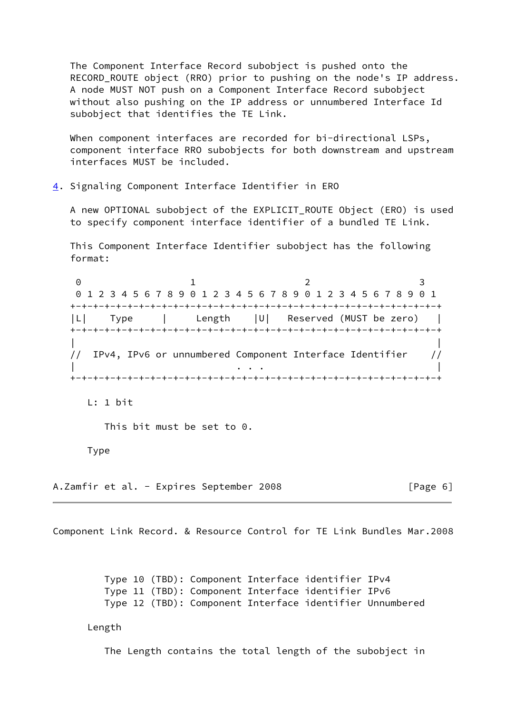The Component Interface Record subobject is pushed onto the RECORD\_ROUTE object (RRO) prior to pushing on the node's IP address. A node MUST NOT push on a Component Interface Record subobject without also pushing on the IP address or unnumbered Interface Id subobject that identifies the TE Link.

When component interfaces are recorded for bi-directional LSPs, component interface RRO subobjects for both downstream and upstream interfaces MUST be included.

<span id="page-6-0"></span>[4](#page-6-0). Signaling Component Interface Identifier in ERO

 A new OPTIONAL subobject of the EXPLICIT\_ROUTE Object (ERO) is used to specify component interface identifier of a bundled TE Link.

 This Component Interface Identifier subobject has the following format:

0 1 2 3 0 1 2 3 4 5 6 7 8 9 0 1 2 3 4 5 6 7 8 9 0 1 2 3 4 5 6 7 8 9 0 1 +-+-+-+-+-+-+-+-+-+-+-+-+-+-+-+-+-+-+-+-+-+-+-+-+-+-+-+-+-+-+-+-+ |L| Type | Length |U| Reserved (MUST be zero) | +-+-+-+-+-+-+-+-+-+-+-+-+-+-+-+-+-+-+-+-+-+-+-+-+-+-+-+-+-+-+-+-+ | | // IPv4, IPv6 or unnumbered Component Interface Identifier // | . . . | +-+-+-+-+-+-+-+-+-+-+-+-+-+-+-+-+-+-+-+-+-+-+-+-+-+-+-+-+-+-+-+-+

L: 1 bit

This bit must be set to 0.

Type

A.Zamfir et al. - Expires September 2008 [Page 6]

Component Link Record. & Resource Control for TE Link Bundles Mar.2008

 Type 10 (TBD): Component Interface identifier IPv4 Type 11 (TBD): Component Interface identifier IPv6 Type 12 (TBD): Component Interface identifier Unnumbered

Length

The Length contains the total length of the subobject in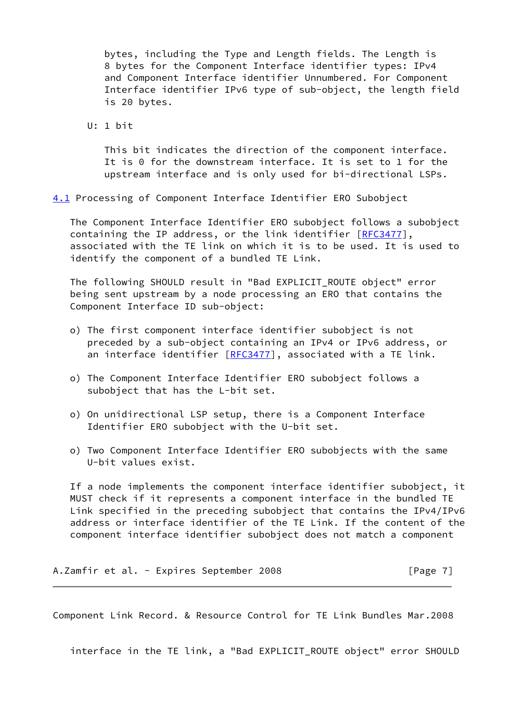bytes, including the Type and Length fields. The Length is 8 bytes for the Component Interface identifier types: IPv4 and Component Interface identifier Unnumbered. For Component Interface identifier IPv6 type of sub-object, the length field is 20 bytes.

U: 1 bit

 This bit indicates the direction of the component interface. It is 0 for the downstream interface. It is set to 1 for the upstream interface and is only used for bi-directional LSPs.

<span id="page-7-0"></span>[4.1](#page-7-0) Processing of Component Interface Identifier ERO Subobject

 The Component Interface Identifier ERO subobject follows a subobject containing the IP address, or the link identifier [[RFC3477](https://datatracker.ietf.org/doc/pdf/rfc3477)], associated with the TE link on which it is to be used. It is used to identify the component of a bundled TE Link.

 The following SHOULD result in "Bad EXPLICIT\_ROUTE object" error being sent upstream by a node processing an ERO that contains the Component Interface ID sub-object:

- o) The first component interface identifier subobject is not preceded by a sub-object containing an IPv4 or IPv6 address, or an interface identifier [[RFC3477\]](https://datatracker.ietf.org/doc/pdf/rfc3477), associated with a TE link.
- o) The Component Interface Identifier ERO subobject follows a subobject that has the L-bit set.
- o) On unidirectional LSP setup, there is a Component Interface Identifier ERO subobject with the U-bit set.
- o) Two Component Interface Identifier ERO subobjects with the same U-bit values exist.

 If a node implements the component interface identifier subobject, it MUST check if it represents a component interface in the bundled TE Link specified in the preceding subobject that contains the IPv4/IPv6 address or interface identifier of the TE Link. If the content of the component interface identifier subobject does not match a component

A.Zamfir et al. - Expires September 2008 [Page 7]

Component Link Record. & Resource Control for TE Link Bundles Mar.2008

interface in the TE link, a "Bad EXPLICIT\_ROUTE object" error SHOULD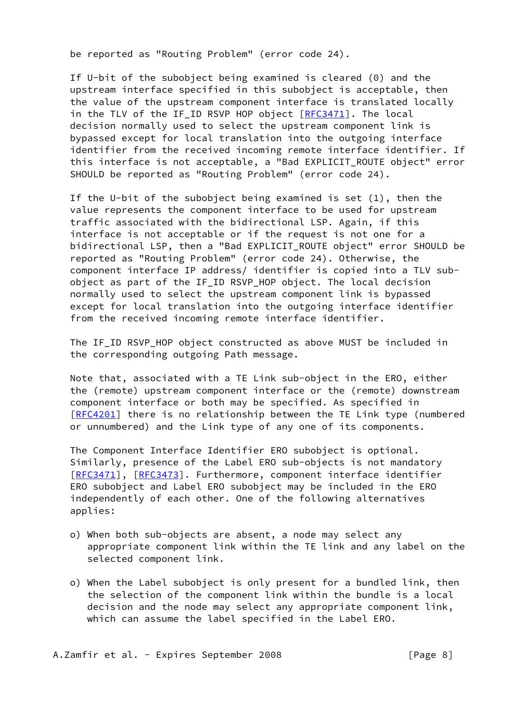be reported as "Routing Problem" (error code 24).

 If U-bit of the subobject being examined is cleared (0) and the upstream interface specified in this subobject is acceptable, then the value of the upstream component interface is translated locally in the TLV of the IF\_ID RSVP HOP object [\[RFC3471](https://datatracker.ietf.org/doc/pdf/rfc3471)]. The local decision normally used to select the upstream component link is bypassed except for local translation into the outgoing interface identifier from the received incoming remote interface identifier. If this interface is not acceptable, a "Bad EXPLICIT\_ROUTE object" error SHOULD be reported as "Routing Problem" (error code 24).

If the U-bit of the subobject being examined is set  $(1)$ , then the value represents the component interface to be used for upstream traffic associated with the bidirectional LSP. Again, if this interface is not acceptable or if the request is not one for a bidirectional LSP, then a "Bad EXPLICIT ROUTE object" error SHOULD be reported as "Routing Problem" (error code 24). Otherwise, the component interface IP address/ identifier is copied into a TLV sub object as part of the IF ID RSVP HOP object. The local decision normally used to select the upstream component link is bypassed except for local translation into the outgoing interface identifier from the received incoming remote interface identifier.

 The IF\_ID RSVP\_HOP object constructed as above MUST be included in the corresponding outgoing Path message.

 Note that, associated with a TE Link sub-object in the ERO, either the (remote) upstream component interface or the (remote) downstream component interface or both may be specified. As specified in [\[RFC4201](https://datatracker.ietf.org/doc/pdf/rfc4201)] there is no relationship between the TE Link type (numbered or unnumbered) and the Link type of any one of its components.

 The Component Interface Identifier ERO subobject is optional. Similarly, presence of the Label ERO sub-objects is not mandatory [\[RFC3471](https://datatracker.ietf.org/doc/pdf/rfc3471)], [[RFC3473\]](https://datatracker.ietf.org/doc/pdf/rfc3473). Furthermore, component interface identifier ERO subobject and Label ERO subobject may be included in the ERO independently of each other. One of the following alternatives applies:

- o) When both sub-objects are absent, a node may select any appropriate component link within the TE link and any label on the selected component link.
- o) When the Label subobject is only present for a bundled link, then the selection of the component link within the bundle is a local decision and the node may select any appropriate component link, which can assume the label specified in the Label ERO.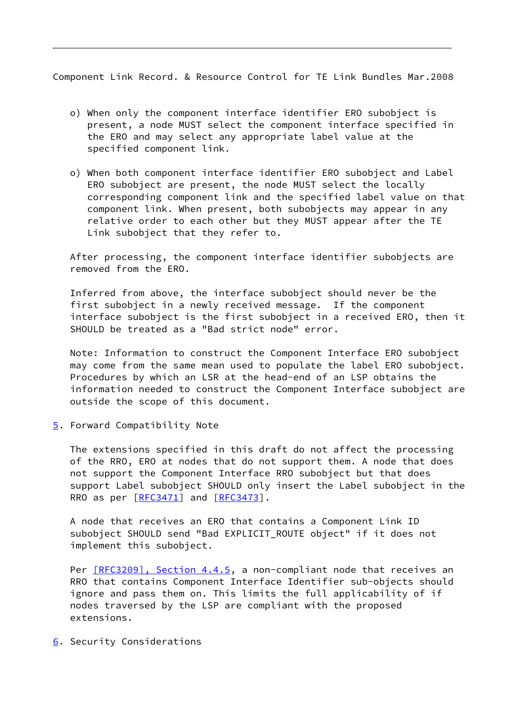<span id="page-9-1"></span>Component Link Record. & Resource Control for TE Link Bundles Mar.2008

- o) When only the component interface identifier ERO subobject is present, a node MUST select the component interface specified in the ERO and may select any appropriate label value at the specified component link.
- o) When both component interface identifier ERO subobject and Label ERO subobject are present, the node MUST select the locally corresponding component link and the specified label value on that component link. When present, both subobjects may appear in any relative order to each other but they MUST appear after the TE Link subobject that they refer to.

 After processing, the component interface identifier subobjects are removed from the ERO.

 Inferred from above, the interface subobject should never be the first subobject in a newly received message. If the component interface subobject is the first subobject in a received ERO, then it SHOULD be treated as a "Bad strict node" error.

 Note: Information to construct the Component Interface ERO subobject may come from the same mean used to populate the label ERO subobject. Procedures by which an LSR at the head-end of an LSP obtains the information needed to construct the Component Interface subobject are outside the scope of this document.

<span id="page-9-0"></span>[5](#page-9-0). Forward Compatibility Note

 The extensions specified in this draft do not affect the processing of the RRO, ERO at nodes that do not support them. A node that does not support the Component Interface RRO subobject but that does support Label subobject SHOULD only insert the Label subobject in the RRO as per  $[REC3471]$  and  $[REC3473]$ .

 A node that receives an ERO that contains a Component Link ID subobject SHOULD send "Bad EXPLICIT\_ROUTE object" if it does not implement this subobject.

Per [\[RFC3209\], Section](https://datatracker.ietf.org/doc/pdf/rfc3209#section-4.4.5) 4.4.5, a non-compliant node that receives an RRO that contains Component Interface Identifier sub-objects should ignore and pass them on. This limits the full applicability of if nodes traversed by the LSP are compliant with the proposed extensions.

<span id="page-9-2"></span>[6](#page-9-2). Security Considerations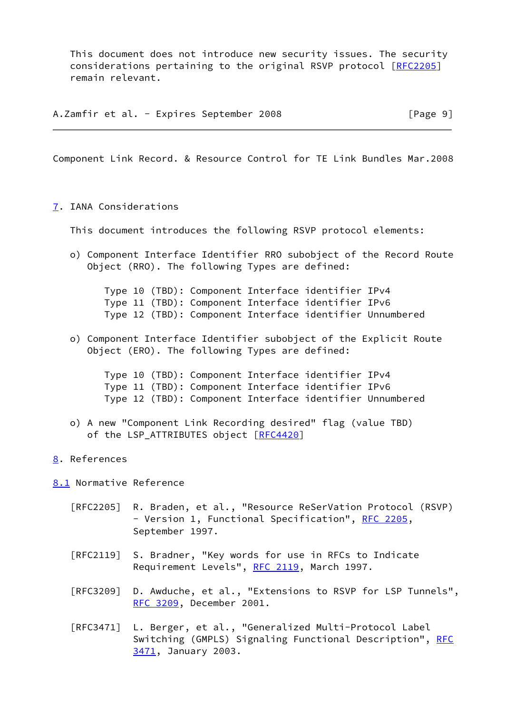This document does not introduce new security issues. The security considerations pertaining to the original RSVP protocol [\[RFC2205](https://datatracker.ietf.org/doc/pdf/rfc2205)] remain relevant.

A.Zamfir et al. - Expires September 2008 [Page 9]

<span id="page-10-1"></span>Component Link Record. & Resource Control for TE Link Bundles Mar.2008

<span id="page-10-0"></span>[7](#page-10-0). IANA Considerations

This document introduces the following RSVP protocol elements:

 o) Component Interface Identifier RRO subobject of the Record Route Object (RRO). The following Types are defined:

 Type 10 (TBD): Component Interface identifier IPv4 Type 11 (TBD): Component Interface identifier IPv6 Type 12 (TBD): Component Interface identifier Unnumbered

 o) Component Interface Identifier subobject of the Explicit Route Object (ERO). The following Types are defined:

 Type 10 (TBD): Component Interface identifier IPv4 Type 11 (TBD): Component Interface identifier IPv6 Type 12 (TBD): Component Interface identifier Unnumbered

- o) A new "Component Link Recording desired" flag (value TBD) of the LSP\_ATTRIBUTES object [\[RFC4420](https://datatracker.ietf.org/doc/pdf/rfc4420)]
- <span id="page-10-2"></span>[8](#page-10-2). References

<span id="page-10-3"></span>[8.1](#page-10-3) Normative Reference

- [RFC2205] R. Braden, et al., "Resource ReSerVation Protocol (RSVP) - Version 1, Functional Specification", [RFC 2205,](https://datatracker.ietf.org/doc/pdf/rfc2205) September 1997.
- [RFC2119] S. Bradner, "Key words for use in RFCs to Indicate Requirement Levels", [RFC 2119](https://datatracker.ietf.org/doc/pdf/rfc2119), March 1997.
- [RFC3209] D. Awduche, et al., "Extensions to RSVP for LSP Tunnels", [RFC 3209,](https://datatracker.ietf.org/doc/pdf/rfc3209) December 2001.
- [RFC3471] L. Berger, et al., "Generalized Multi-Protocol Label Switching (GMPLS) Signaling Functional Description", [RFC](https://datatracker.ietf.org/doc/pdf/rfc3471) [3471,](https://datatracker.ietf.org/doc/pdf/rfc3471) January 2003.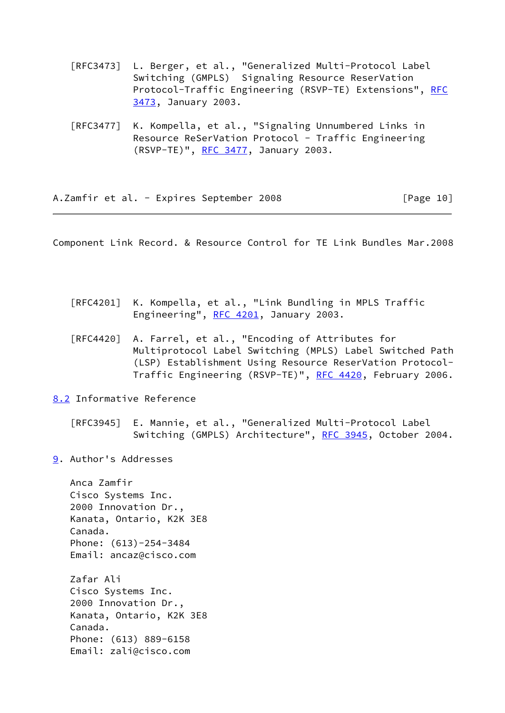- [RFC3473] L. Berger, et al., "Generalized Multi-Protocol Label Switching (GMPLS) Signaling Resource ReserVation Protocol-Traffic Engineering (RSVP-TE) Extensions", [RFC](https://datatracker.ietf.org/doc/pdf/rfc3473) [3473,](https://datatracker.ietf.org/doc/pdf/rfc3473) January 2003.
- [RFC3477] K. Kompella, et al., "Signaling Unnumbered Links in Resource ReSerVation Protocol - Traffic Engineering (RSVP-TE)", [RFC 3477,](https://datatracker.ietf.org/doc/pdf/rfc3477) January 2003.

A.Zamfir et al. - Expires September 2008 [Page 10]

<span id="page-11-1"></span>Component Link Record. & Resource Control for TE Link Bundles Mar.2008

| [RFC4201] K. Kompella, et al., "Link Bundling in MPLS Traffic |
|---------------------------------------------------------------|
| Engineering", RFC 4201, January 2003.                         |

 [RFC4420] A. Farrel, et al., "Encoding of Attributes for Multiprotocol Label Switching (MPLS) Label Switched Path (LSP) Establishment Using Resource ReserVation Protocol- Traffic Engineering (RSVP-TE)", [RFC 4420,](https://datatracker.ietf.org/doc/pdf/rfc4420) February 2006.

<span id="page-11-0"></span>[8.2](#page-11-0) Informative Reference

 [RFC3945] E. Mannie, et al., "Generalized Multi-Protocol Label Switching (GMPLS) Architecture", [RFC 3945,](https://datatracker.ietf.org/doc/pdf/rfc3945) October 2004.

<span id="page-11-2"></span>[9](#page-11-2). Author's Addresses

 Anca Zamfir Cisco Systems Inc. 2000 Innovation Dr., Kanata, Ontario, K2K 3E8 Canada. Phone: (613)-254-3484 Email: ancaz@cisco.com Zafar Ali Cisco Systems Inc. 2000 Innovation Dr., Kanata, Ontario, K2K 3E8 Canada. Phone: (613) 889-6158 Email: zali@cisco.com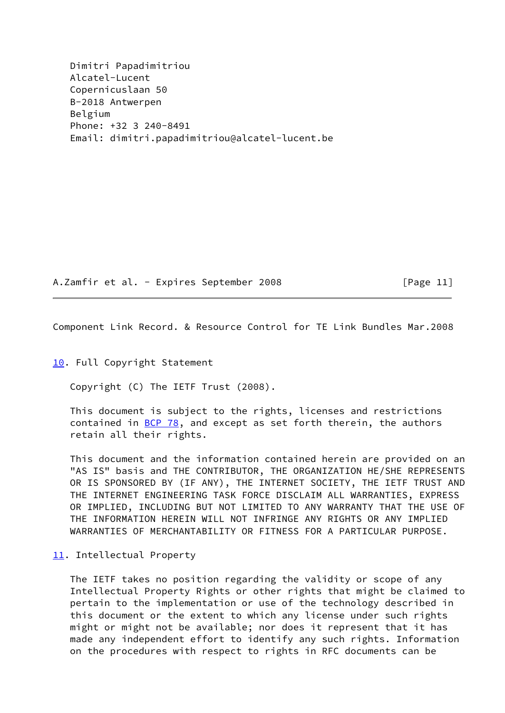Dimitri Papadimitriou Alcatel-Lucent Copernicuslaan 50 B-2018 Antwerpen Belgium Phone: +32 3 240-8491 Email: dimitri.papadimitriou@alcatel-lucent.be

A.Zamfir et al. - Expires September 2008 [Page 11]

<span id="page-12-1"></span>Component Link Record. & Resource Control for TE Link Bundles Mar.2008

<span id="page-12-0"></span>[10.](#page-12-0) Full Copyright Statement

Copyright (C) The IETF Trust (2008).

 This document is subject to the rights, licenses and restrictions contained in  $BCP$  78, and except as set forth therein, the authors retain all their rights.

 This document and the information contained herein are provided on an "AS IS" basis and THE CONTRIBUTOR, THE ORGANIZATION HE/SHE REPRESENTS OR IS SPONSORED BY (IF ANY), THE INTERNET SOCIETY, THE IETF TRUST AND THE INTERNET ENGINEERING TASK FORCE DISCLAIM ALL WARRANTIES, EXPRESS OR IMPLIED, INCLUDING BUT NOT LIMITED TO ANY WARRANTY THAT THE USE OF THE INFORMATION HEREIN WILL NOT INFRINGE ANY RIGHTS OR ANY IMPLIED WARRANTIES OF MERCHANTABILITY OR FITNESS FOR A PARTICULAR PURPOSE.

## <span id="page-12-2"></span>[11.](#page-12-2) Intellectual Property

 The IETF takes no position regarding the validity or scope of any Intellectual Property Rights or other rights that might be claimed to pertain to the implementation or use of the technology described in this document or the extent to which any license under such rights might or might not be available; nor does it represent that it has made any independent effort to identify any such rights. Information on the procedures with respect to rights in RFC documents can be